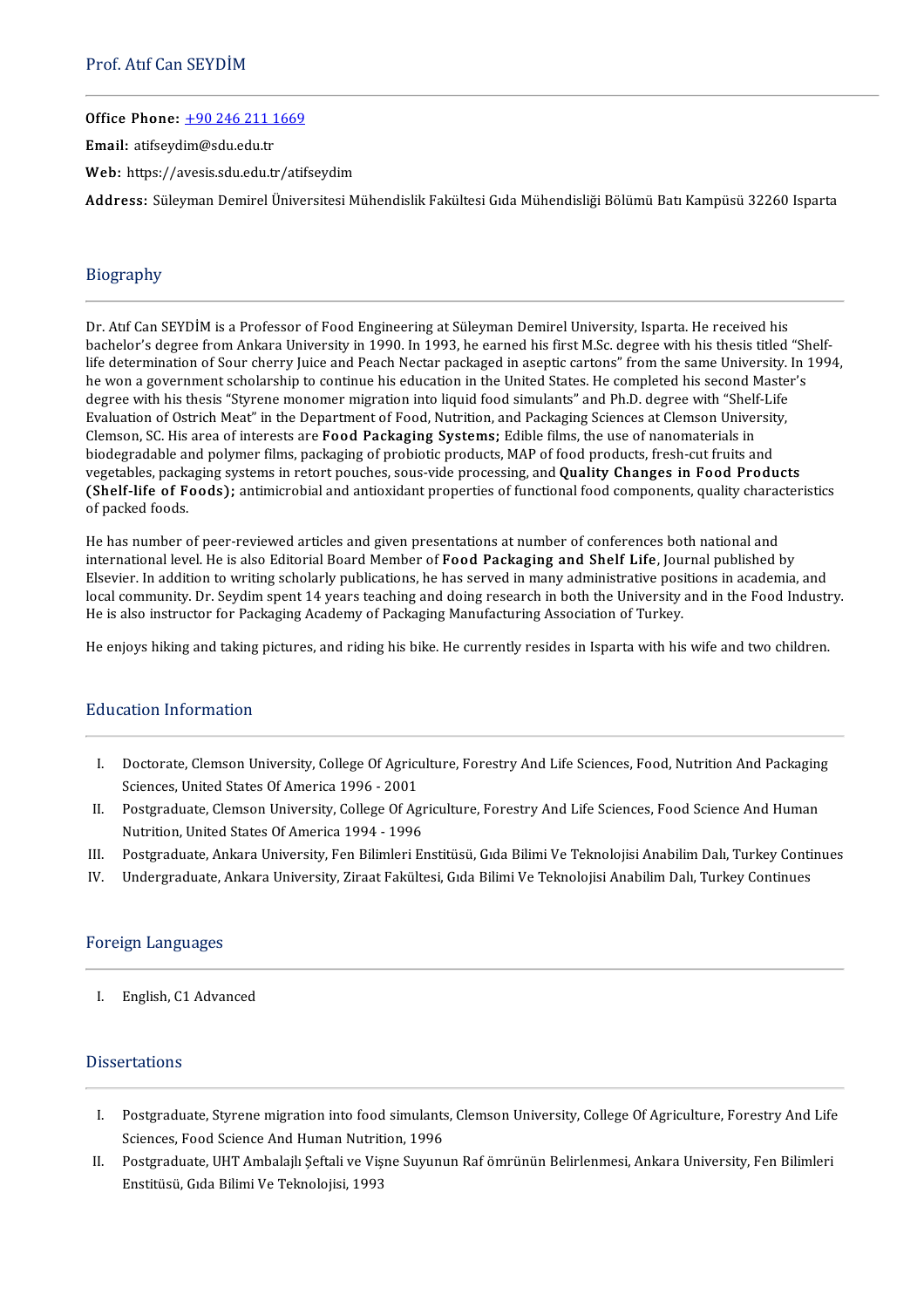Office Phone: +90 246 211 1669

Email: atifseydim@sdu.edu.tr

Web: https://avesis.sdu.edu.tr/atifseydim

Address: Süleyman Demirel Üniversitesi Mühendislik Fakültesi Gıda Mühendisliği Bölümü Batı Kampüsü 32260 Isparta

# Biography

Dr. Atif Can SEYDİM is a Professor of Food Engineering at Süleyman Demirel University, Isparta. He received his bachelor's degree from Ankara University in 1990. In 1993, he earned his first M.Sc. degree with his thesis titled "Shelflife determination of Sour cherry Juice and Peach Nectar packaged in aseptic cartons" from the same University. In 1994, Dr. Atif Can SEYDIM is a Professor of Food Engineering at Suleyman Demirel University, Isparta. He received his<br>bachelor's degree from Ankara University in 1990. In 1993, he earned his first M.Sc. degree with his thesis ti bachelor's degree from Ankara University in 1990. In 1993, he earned his first M.Sc. degree with his thesis titled<br>life determination of Sour cherry Juice and Peach Nectar packaged in aseptic cartons" from the same Univers life determination of Sour cherry Juice and Peach Nectar packaged in aseptic cartons" from the same University.<br>he won a government scholarship to continue his education in the United States. He completed his second Maste<br> degree with his thesis "Styrene monomer migration into liquid food simulants" and Ph.D. degree with "Shelf-Life<br>Evaluation of Ostrich Meat" in the Department of Food, Nutrition, and Packaging Sciences at Clemson University Evaluation of Ostrich Meat" in the Department of Food, Nutrition, and Packaging Sciences at Clemson University, vegetables, packaging systems in retort pouches, sous-vide processing, and Quality Changes in Food Products Clemson, SC. His area of interests are F**ood Packaging Systems;** Edible films, the use of nanomaterials in<br>biodegradable and polymer films, packaging of probiotic products, MAP of food products, fresh-cut fruits and<br>vegeta biodegradable a<br>vegetables, pack<br>(Shelf-life of F<br>of packed foods. of packed foods.<br>He has number of peer-reviewed articles and given presentations at number of conferences both national and

international level. He is also Editorial Board Member of Food Packaging and Shelf Life, Journal published by He has number of peer-reviewed articles and given presentations at number of conferences both national and<br>international level. He is also Editorial Board Member of **Food Packaging and Shelf Life**, Journal published by<br>Els local community. Dr. Seydim spent 14 years teaching and doing research in both the University and in the Food Industry.<br>He is also instructor for Packaging Academy of Packaging Manufacturing Association of Turkey. international level. He is also Editorial Board Member of F**ood Packaging and Shelf Life,** Jou<br>Elsevier. In addition to writing scholarly publications, he has served in many administrative posi<br>local community. Dr. Seydim

He enjoys hiking and taking pictures, and riding his bike. He currently resides in Isparta with his wife and two children.

# Education Information

- ducation Information<br>I. Doctorate, Clemson University, College Of Agriculture, Forestry And Life Sciences, Food, Nutrition And Packaging<br>Sciences, United States Of America 1996 2001 Doctorate, Clemson University, College Of Agricu<br>Sciences, United States Of America 1996 - 2001<br>Pestareduate Clemson University, College Of Ag I. Doctorate, Clemson University, College Of Agriculture, Forestry And Life Sciences, Food, Nutrition And Packaging<br>Sciences, United States Of America 1996 - 2001<br>II. Postgraduate, Clemson University, College Of Agricultur
- Sciences, United States Of America 1996 2001<br>Postgraduate, Clemson University, College Of Agr<br>Nutrition, United States Of America 1994 1996<br>Postgraduate, Ankara University, Een Bilimleri Er II. Postgraduate, Clemson University, College Of Agriculture, Forestry And Life Sciences, Food Science And Human<br>Nutrition, United States Of America 1994 - 1996<br>III. Postgraduate, Ankara University, Fen Bilimleri Enstitüsü
- Nutrition, United States Of America 1994 1996<br>III. Postgraduate, Ankara University, Fen Bilimleri Enstitüsü, Gıda Bilimi Ve Teknolojisi Anabilim Dalı, Turkey Continues<br>IV. Undergraduate, Ankara University, Ziraat
- 

## Foreign Languages

I. English,C1Advanced

# **Dissertations**

- Issertations<br>I. Postgraduate, Styrene migration into food simulants, Clemson University, College Of Agriculture, Forestry And Life<br>Sciences Eood Science And Human Nutrition 1996 Postgraduate, Styrene migration into food simulants<br>Sciences, Food Science And Human Nutrition, 1996<br>Postgraduate, HHT Ambalaik Softali vo Viene Sumuny I. Postgraduate, Styrene migration into food simulants, Clemson University, College Of Agriculture, Forestry And Life<br>Sciences, Food Science And Human Nutrition, 1996<br>II. Postgraduate, UHT Ambalajlı Şeftali ve Vişne Suyunu
- Enstitüsü, Gıda Bilimi Ve Teknolojisi, 1993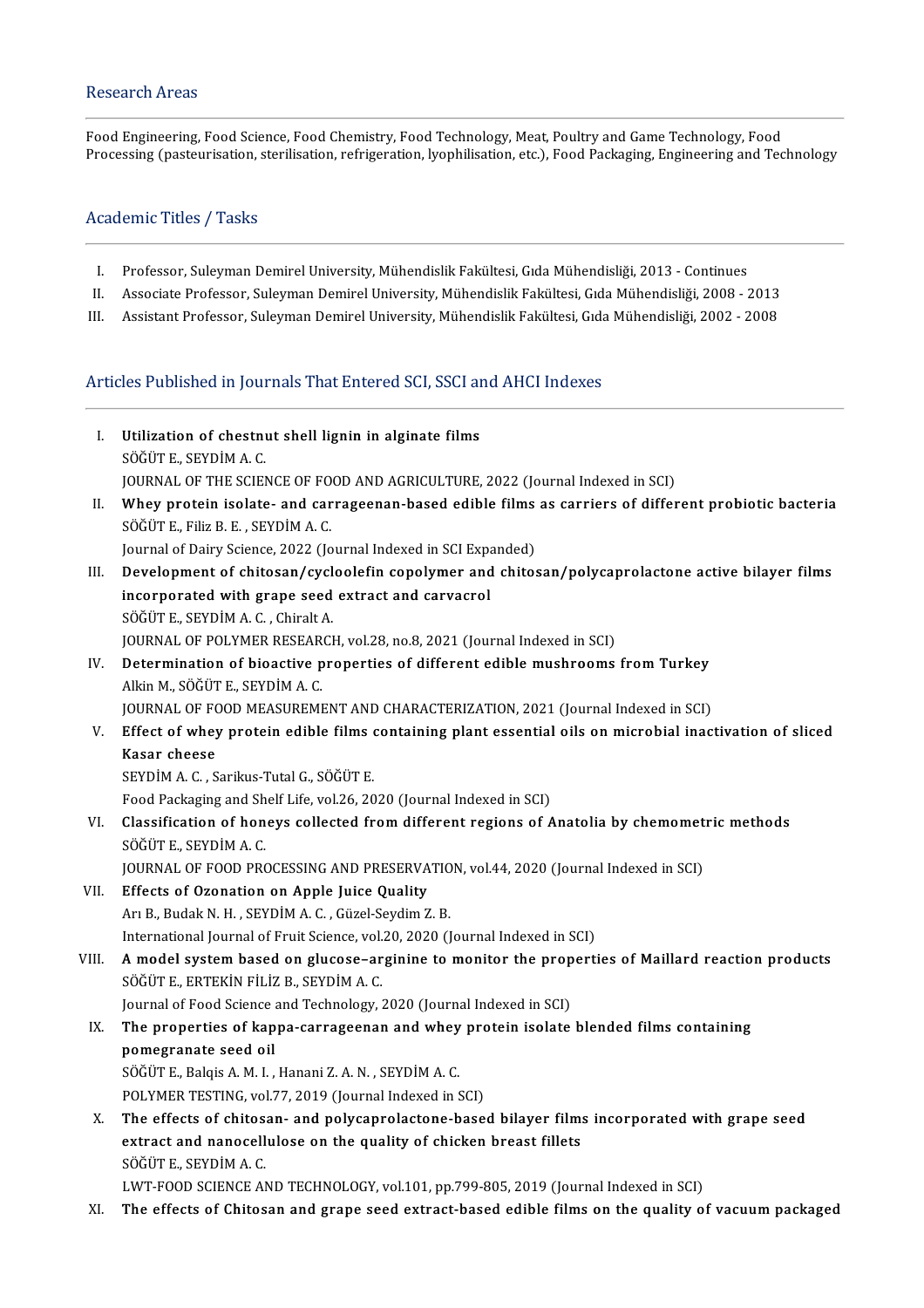# Research Areas

Food Engineering, Food Science, Food Chemistry, Food Technology, Meat, Poultry and Game Technology, Food Processing (pasteurisation, sterilisation, refrigeration, lyophilisation, etc.), Food Packaging, Engineering and Technology

## Academic Titles / Tasks

- I. Professor, Suleyman Demirel University, Mühendislik Fakültesi, Gıda Mühendisliği, 2013 Continues
- I. Professor, Suleyman Demirel University, Mühendislik Fakültesi, Gıda Mühendisliği, 2013 Continues<br>II. Associate Professor, Suleyman Demirel University, Mühendislik Fakültesi, Gıda Mühendisliği, 2008 2013<br>U. Assistant I. Professor, Suleyman Demirel University, Mühendislik Fakültesi, Gıda Mühendisliği, 2013 - Continues<br>II. Associate Professor, Suleyman Demirel University, Mühendislik Fakültesi, Gıda Mühendisliği, 2008 - 2013<br>III. Assista
- III. Assistant Professor, Suleyman Demirel University, Mühendislik Fakültesi, Gıda Mühendisliği, 2002 2008<br>Articles Published in Journals That Entered SCI, SSCI and AHCI Indexes

- rticles Published in Journals That Entered SCI, SSCI an<br>I. Utilization of chestnut shell lignin in alginate films<br>SÖÖÜTE SEVDİMA G **Utilization of chestni**<br>SÖĞÜT E., SEYDİM A. C.<br>JOUPMAL OF THE SCIEN Utilization of chestnut shell lignin in alginate films<br>SÖĞÜT E., SEYDİM A. C.<br>JOURNAL OF THE SCIENCE OF FOOD AND AGRICULTURE, 2022 (Journal Indexed in SCI)<br>Whoy protein isolate, and sarrageonan based edible films as sarria SÖĞÜT E., SEYDİM A. C.<br>JOURNAL OF THE SCIENCE OF FOOD AND AGRICULTURE, 2022 (Journal Indexed in SCI)<br>II. Whey protein isolate- and carrageenan-based edible films as carriers of different probiotic bacteria<br>SÖĞÜTE, Fili
- JOURNAL OF THE SCIENCE OF FO<br>Whey protein isolate- and car<br>SÖĞÜT E., Filiz B. E. , SEYDİM A. C.<br>Journal of Dairy Sciance, 2022 (Jo Whey protein isolate- and carrageenan-based edible films<br>SÖĞÜT E., Filiz B. E. , SEYDİM A. C.<br>Journal of Dairy Science, 2022 (Journal Indexed in SCI Expanded)<br>Development of chitesen (aveloplefin conclumer and chites SÖĞÜT E., Filiz B. E. , SEYDİM A. C.<br>Journal of Dairy Science, 2022 (Journal Indexed in SCI Expanded)<br>III. Development of chitosan/cycloolefin copolymer and chitosan/polycaprolactone active bilayer films<br>incornerated w
	-
- Journal of Dairy Science, 2022 (Journal Indexed in SCI Expanded With grape seed extract and carvacrol<br>incorporated with grape seed extract and carvacrol<br>söčür F. SEVDIM A.C. Chiralt A. Development of chitosan/cycl<br>incorporated with grape seed<br>SÖĞÜT E., SEYDİM A. C. , Chiralt A.<br>JOUPNAL OF POLYMER RESEARCH incorporated with grape seed extract and carvacrol<br>SÖĞÜT E., SEYDİM A. C. , Chiralt A.<br>JOURNAL OF POLYMER RESEARCH, vol.28, no.8, 2021 (Journal Indexed in SCI)
- SÖĞÜT E., SEYDİM A. C. , Chiralt A.<br>JOURNAL OF POLYMER RESEARCH, vol.28, no.8, 2021 (Journal Indexed in SCI)<br>IV. Determination of bioactive properties of different edible mushrooms from Turkey<br>Alkin M. SÖĞÜT E. SEVDİM A. C JOURNAL OF POLYMER RESEAR<br>Determination of bioactive p<br>Alkin M., SÖĞÜT E., SEYDİM A. C.<br>JOUPNAL OF FOOD MEASUPEMI Determination of bioactive properties of different edible mushrooms from Turkey<br>Alkin M., SÖĞÜT E., SEYDİM A. C.<br>JOURNAL OF FOOD MEASUREMENT AND CHARACTERIZATION, 2021 (Journal Indexed in SCI)<br>Effect of urbey protein edibl
	-
- Alkin M., SÖĞÜT E., SEYDİM A. C.<br>JOURNAL OF FOOD MEASUREMENT AND CHARACTERIZATION, 2021 (Journal Indexed in SCI)<br>V. Effect of whey protein edible films containing plant essential oils on microbial inactivation of slice JOURNAL OF FOOD MEASUREMENT AND CHARACTERIZATION, 2021 (Journal Indexed in SCI)<br>Effect of whey protein edible films containing plant essential oils on microbial inac<br>Kasar cheese<br>SEYDIM A. C., Sarikus-Tutal G., SÖĞÜT E. Effect of whey protein edible films<br>Kasar cheese<br>SEYDİM A. C. , Sarikus-Tutal G., SÖĞÜT E.<br>Feed Peskasing and Shelf Life val 26, 20
	-
	- Food Packaging and Shelf Life, vol.26, 2020 (Journal Indexed in SCI)
- SEYDİM A. C. , Sarikus-Tutal G., SÖĞÜT E.<br>Food Packaging and Shelf Life, vol.26, 2020 (Journal Indexed in SCI)<br>VI. Classification of honeys collected from different regions of Anatolia by chemometric methods<br>SÖĞÜTE SEVDİM Food Packaging and Sh<br>Classification of hon<br>SÖĞÜT E., SEYDİM A. C.<br>JOUPNAL OF FOOD PRO Classification of honeys collected from different regions of Anatolia by chemomet<br>SÖĞÜT E., SEYDİM A. C.<br>JOURNAL OF FOOD PROCESSING AND PRESERVATION, vol.44, 2020 (Journal Indexed in SCI)<br>Effects of Ozonation on Annie luis

- SÖĞÜT E., SEYDİM A. C.<br>JOURNAL OF FOOD PROCESSING AND PRESERVA<br>VII. Effects of Ozonation on Apple Juice Quality<br>Are Budak N. H. SEVDİM A. G. Güzel Savdin Z JOURNAL OF FOOD PROCESSING AND PRESERVATIO<br>Effects of Ozonation on Apple Juice Quality<br>Arı B., Budak N. H. , SEYDİM A. C. , Güzel-Seydim Z. B.<br>International Journal of Eruit Science, vol 20, 2020 (J Arı B., Budak N. H. , SEYDİM A. C. , Güzel-Seydim Z. B.<br>International Journal of Fruit Science, vol.20, 2020 (Journal Indexed in SCI)
- Arı B., Budak N. H. , SEYDİM A. C. , Güzel-Seydim Z. B.<br>International Journal of Fruit Science, vol.20, 2020 (Journal Indexed in SCI)<br>VIII. A model system based on glucose–arginine to monitor the properties of Maillard rea International Journal of Fruit Science, vol.<br>A model system based on glucose–ar<br>SÖĞÜT E., ERTEKİN FİLİZ B., SEYDİM A. C.<br>Journal of Food Science and Technology A model system based on glucose–arginine to monitor the prop<br>SÖĞÜT E., ERTEKİN FİLİZ B., SEYDİM A. C.<br>Journal of Food Science and Technology, 2020 (Journal Indexed in SCI)<br>The preperties of kappe serreseepen and whey prete

SÖĞÜT E., ERTEKİN FİLİZ B., SEYDİM A. C.<br>Journal of Food Science and Technology, 2020 (Journal Indexed in SCI)<br>IX. The properties of kappa-carrageenan and whey protein isolate blended films containing<br>nomegranate seed eil. Journal of Food Science<br>The properties of kap<br>pomegranate seed oil<br>Söčür E. Bakis A.M.L The properties of kappa-carrageenan and whey<br>pomegranate seed oil<br>SÖĞÜT E., Balqis A. M. I. , Hanani Z. A. N. , SEYDİM A. C.<br>POLYMER TESTING .val 77–2019 (Jaurnal Indaved in S pomegranate seed oil<br>SÖĞÜT E., Balqis A. M. I. , Hanani Z. A. N. , SEYDİM A. C.<br>POLYMER TESTING, vol.77, 2019 (Journal Indexed in SCI)

SÖĞÜT E., Balqis A. M. I. , Hanani Z. A. N. , SEYDİM A. C.<br>POLYMER TESTING, vol.77, 2019 (Journal Indexed in SCI)<br>X. The effects of chitosan- and polycaprolactone-based bilayer films incorporated with grape seed<br>outport an POLYMER TESTING, vol.77, 2019 (Journal Indexed in SCI)<br>The effects of chitosan- and polycaprolactone-based bilayer film:<br>extract and nanocellulose on the quality of chicken breast fillets<br>SÖČÜT E. SEVDİM A.C The effects of chitos:<br>extract and nanocell<br>SÖĞÜT E., SEYDİM A. C.<br>LWT EOOD SCIENCE AN extract and nanocellulose on the quality of chicken breast fillets<br>SÖĞÜT E., SEYDİM A. C.<br>LWT-FOOD SCIENCE AND TECHNOLOGY, vol.101, pp.799-805, 2019 (Journal Indexed in SCI)

XI. The effects of Chitosan and grape seed extract-based edible films on the quality of vacuumpackaged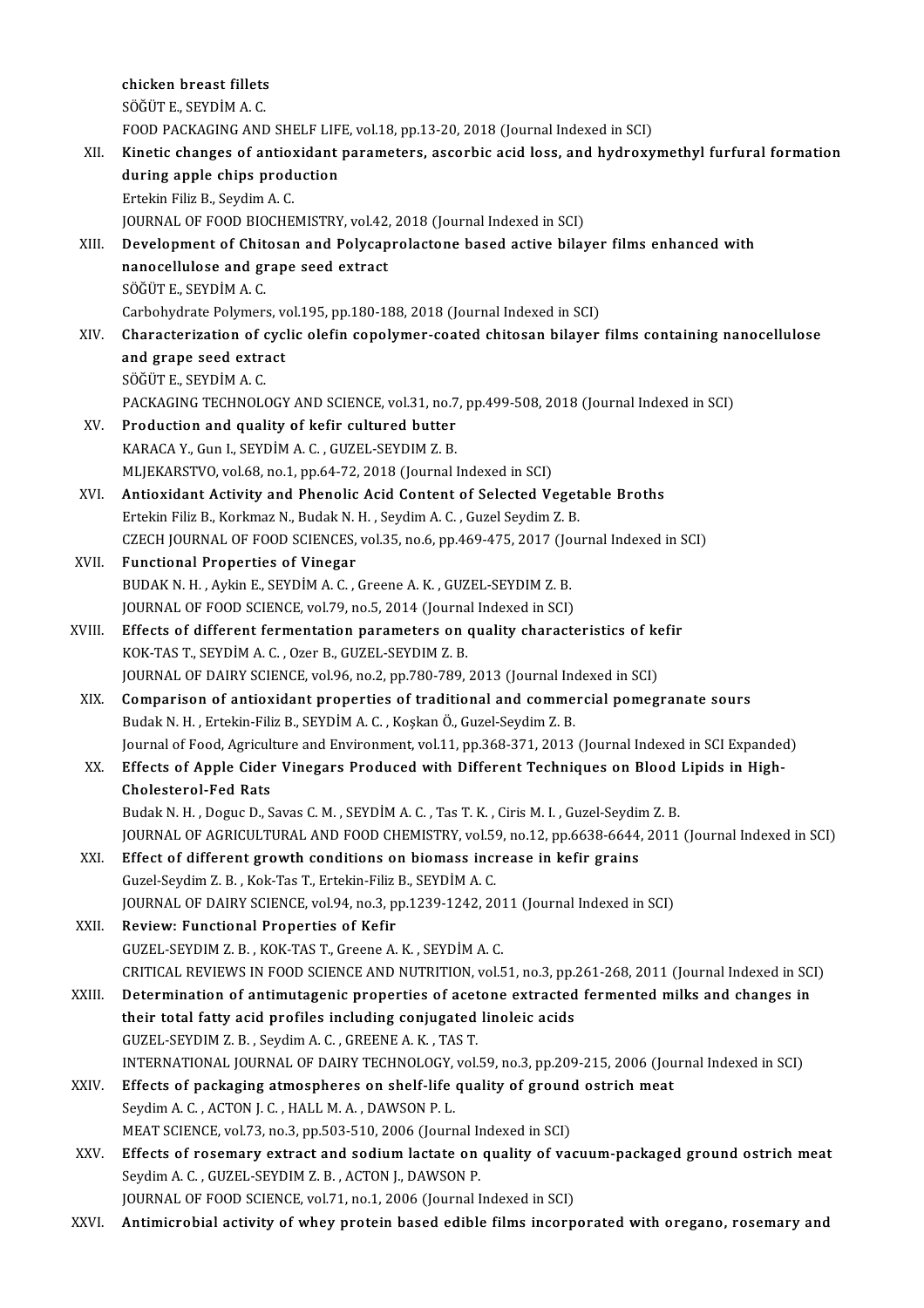chicken breast fillets SÖĞÜTE.,SEYDİMA.C. chicken breast fillets<br>SÖĞÜT E., SEYDİM A. C.<br>FOOD PACKAGING AND SHELF LIFE, vol.18, pp.13-20, 2018 (Journal Indexed in SCI)<br>Kinetis shanges of antiquidant parameters, assanbis asid lass, and budnowy SÖĞÜT E., SEYDİM A. C.<br>FOOD PACKAGING AND SHELF LIFE, vol.18, pp.13-20, 2018 (Journal Indexed in SCI)<br>XII. Kinetic changes of antioxidant parameters, ascorbic acid loss, and hydroxymethyl furfural formation<br>during annl FOOD PACKAGING AND SHELF LIF<br>Kinetic changes of antioxidant<br>during apple chips production<br>Extekin Filiz B. Sovdim A.C. Kinetic changes of antiox<br>during apple chips produ<br>Ertekin Filiz B., Seydim A. C.<br>JOUPMAL OF FOOD PJOCHE during apple chips production<br>Ertekin Filiz B., Seydim A. C.<br>JOURNAL OF FOOD BIOCHEMISTRY, vol.42, 2018 (Journal Indexed in SCI)<br>Dovelopment of Chitosan and Polycanrelastone based astive bile: Ertekin Filiz B., Seydim A. C.<br>JOURNAL OF FOOD BIOCHEMISTRY, vol.42, 2018 (Journal Indexed in SCI)<br>XIII. Development of Chitosan and Polycaprolactone based active bilayer films enhanced with JOURNAL OF FOOD BIOCHEMISTRY, vol.42,<br>Development of Chitosan and Polycap<br>nanocellulose and grape seed extract<br>SÖČÜTE SEVDİM A C nanocellulose and grape seed extract<br>SÖĞÜTE., SEYDİM A.C. nanocellulose and grape seed extract<br>SÖĞÜT E., SEYDİM A. C.<br>Carbohydrate Polymers, vol.195, pp.180-188, 2018 (Journal Indexed in SCI)<br>Characterization of syslis olefin sonolymer, sosted shitosan bilayor. SÖĞÜT E., SEYDİM A. C.<br>Carbohydrate Polymers, vol.195, pp.180-188, 2018 (Journal Indexed in SCI)<br>XIV. Characterization of cyclic olefin copolymer-coated chitosan bilayer films containing nanocellulose<br>and grape seed ex Carbohydrate Polymers, ve<br>Characterization of cycl<br>and grape seed extract Characterization of c<br>and grape seed extra<br>SÖĞÜT E., SEYDİM A. C.<br>BACKACINC TECHNOL and grape seed extract<br>SÖĞÜT E., SEYDİM A. C.<br>PACKAGING TECHNOLOGY AND SCIENCE, vol.31, no.7, pp.499-508, 2018 (Journal Indexed in SCI)<br>Production and quality of kofir qultured butter. SÖĞÜT E., SEYDİM A. C.<br>PACKAGING TECHNOLOGY AND SCIENCE, vol.31, no.7<br>XV. Production and quality of kefir cultured butter<br>KARACA Y., Gun I., SEYDİM A. C. , GUZEL-SEYDIM Z. B. PACKAGING TECHNOLOGY AND SCIENCE, vol.31, no.7<br>Production and quality of kefir cultured butter<br>KARACA Y., Gun I., SEYDIM A. C. , GUZEL-SEYDIM Z. B.<br>MUEKARSTVO vol.69, no.1, np.64, 72, 2019 (Journal) MLJEKARSTVO, vol.68, no.1, pp.64-72, 2018 (Journal Indexed in SCI) XVI. Antioxidant Activity and Phenolic Acid Content of Selected Vegetable Broths MLJEKARSTVO, vol.68, no.1, pp.64-72, 2018 (Journal Indexed in SCI)<br>Antioxidant Activity and Phenolic Acid Content of Selected Veget<br>Ertekin Filiz B., Korkmaz N., Budak N. H. , Seydim A. C. , Guzel Seydim Z. B.<br>CZECH JOURNA CZECH JOURNAL OF FOOD SCIENCES, vol.35, no.6, pp.469-475, 2017 (Journal Indexed in SCI)<br>Functional Properties of Vinegar Ertekin Filiz B., Korkmaz N., Budak N.<br>CZECH JOURNAL OF FOOD SCIENCES,<br>XVII. Functional Properties of Vinegar BUDAK N.H., Aykin E., SEYDİM A.C., Greene A.K., GUZEL-SEYDIMZ.B. Functional Properties of Vinegar<br>BUDAK N. H. , Aykin E., SEYDIM A. C. , Greene A. K. , GUZEL-SEYDIM Z. B.<br>JOURNAL OF FOOD SCIENCE, vol.79, no.5, 2014 (Journal Indexed in SCI)<br>Effects of different formentation perameters on BUDAK N. H. , Aykin E., SEYDİM A. C. , Greene A. K. , GUZEL-SEYDIM Z. B.<br>JOURNAL OF FOOD SCIENCE, vol.79, no.5, 2014 (Journal Indexed in SCI)<br>XVIII. Effects of different fermentation parameters on quality characteristics o JOURNAL OF FOOD SCIENCE, vol.79, no.5, 2014 (Journa<br>Effects of different fermentation parameters on (<br>KOK-TAS T., SEYDİM A. C. , Ozer B., GUZEL-SEYDIM Z. B.<br>JOUPNAL OF DAIPY SCIENCE, vol.96, no.2, np.790,799 Effects of different fermentation parameters on quality characteristics of ke<br>KOK-TAS T., SEYDIM A. C. , Ozer B., GUZEL-SEYDIM Z. B.<br>JOURNAL OF DAIRY SCIENCE, vol.96, no.2, pp.780-789, 2013 (Journal Indexed in SCI)<br>Compari KOK-TAS T., SEYDIM A. C. , Ozer B., GUZEL-SEYDIM Z. B.<br>JOURNAL OF DAIRY SCIENCE, vol.96, no.2, pp.780-789, 2013 (Journal Indexed in SCI)<br>XIX. Comparison of antioxidant properties of traditional and commercial pomegrana BudakN.H. ,Ertekin-FilizB.,SEYDİMA.C. ,KoşkanÖ.,Guzel-SeydimZ.B. Comparison of antioxidant properties of traditional and commercial pomegranate sours<br>Budak N. H. , Ertekin-Filiz B., SEYDİM A. C. , Koşkan Ö., Guzel-Seydim Z. B.<br>Journal of Food, Agriculture and Environment, vol.11, pp.368 XX. Effects of Apple Cider Vinegars Produced with Different Techniques on Blood Lipids in High-Journal of Food, Agricult<br>Effects of Apple Cider<br>Cholesterol-Fed Rats<br>Budak N. H., Degue D. S BudakN.H. ,DogucD.,SavasC.M. ,SEYDİMA.C. ,TasT.K. ,CirisM. I. ,Guzel-SeydimZ.B. JOURNALOFAGRICULTURALANDFOODCHEMISTRY,vol.59,no.12,pp.6638-6644,2011(Journal IndexedinSCI) Budak N. H., Doguc D., Savas C. M., SEYDİM A. C., Tas T. K., Ciris M. I., Guzel-Seydir<br>JOURNAL OF AGRICULTURAL AND FOOD CHEMISTRY, vol.59, no.12, pp.6638-6644,<br>XXI. Effect of different growth conditions on biomass increase JOURNAL OF AGRICULTURAL AND FOOD CHEMISTRY, vol.59<br>Effect of different growth conditions on biomass incr<br>Guzel-Seydim Z. B. , Kok-Tas T., Ertekin-Filiz B., SEYDİM A. C.<br>JOUPNAL OF DAIPY SCIENCE vol.04, no.2, np.1220,1242,2 Effect of different growth conditions on biomass increase in kefir grains<br>Guzel-Seydim Z. B. , Kok-Tas T., Ertekin-Filiz B., SEYDİM A. C.<br>JOURNAL OF DAIRY SCIENCE, vol.94, no.3, pp.1239-1242, 2011 (Journal Indexed in SCI)<br> Guzel-Seydim Z. B. , Kok-Tas T., Ertekin-Filiz B., SEYDİM A. C.<br>JOURNAL OF DAIRY SCIENCE, vol.94, no.3, pp.1239-1242, 201<br>XXII. Review: Functional Properties of Kefir<br>GUZEL-SEYDIM Z. B. , KOK-TAS T., Greene A. K. , SEYDİM JOURNAL OF DAIRY SCIENCE, vol.94, no.3, pp.1239-1242, 2011 (Journal Indexed in SCI) CRITICALREVIEWS INFOODSCIENCEANDNUTRITION,vol.51,no.3,pp.261-268,2011(Journal IndexedinSCI) GUZEL-SEYDIM Z. B., KOK-TAS T., Greene A. K., SEYDIM A. C.<br>CRITICAL REVIEWS IN FOOD SCIENCE AND NUTRITION, vol.51, no.3, pp.261-268, 2011 (Journal Indexed in SC<br>XXIII. Determination of antimutagenic properties of acetone e CRITICAL REVIEWS IN FOOD SCIENCE AND NUTRITION, vol.51, no.3, pp.<br>Determination of antimutagenic properties of acetone extracted<br>their total fatty acid profiles including conjugated linoleic acids<br>CUZEL SEVDIM Z P. Savdim Determination of antimutagenic properties of acet<br>their total fatty acid profiles including conjugated<br>GUZEL-SEYDIM Z. B. , Seydim A. C. , GREENE A. K. , TAS T.<br>INTERNATIONAL JOURNAL OF DAIRY TECHNOLOCY vol. their total fatty acid profiles including conjugated linoleic acids<br>GUZEL-SEYDIM Z. B., Seydim A. C., GREENE A. K., TAS T.<br>INTERNATIONAL JOURNAL OF DAIRY TECHNOLOGY, vol.59, no.3, pp.209-215, 2006 (Journal Indexed in SCI)<br> GUZEL-SEYDIM Z. B., Seydim A. C., GREENE A. K., TAS T.<br>INTERNATIONAL JOURNAL OF DAIRY TECHNOLOGY, vol.59, no.3, pp.209-215, 2006 (Journal XXIV.<br>XXIV. Effects of packaging atmospheres on shelf-life quality of ground ostrich INTERNATIONAL JOURNAL OF DAIRY TECHNOLOGY,<br>Effects of packaging atmospheres on shelf-life<br>Seydim A. C. , ACTON J. C. , HALL M. A. , DAWSON P. L.<br>MEAT SCIENCE vol 72, no 2, np 502, 510, 2006 (Journ Effects of packaging atmospheres on shelf-life quality of ground<br>Seydim A. C. , ACTON J. C. , HALL M. A. , DAWSON P. L.<br>MEAT SCIENCE, vol.73, no.3, pp.503-510, 2006 (Journal Indexed in SCI)<br>Effects of resonmany outrast and Seydim A. C. , ACTON J. C. , HALL M. A. , DAWSON P. L.<br>MEAT SCIENCE, vol.73, no.3, pp.503-510, 2006 (Journal Indexed in SCI)<br>XXV. Effects of rosemary extract and sodium lactate on quality of vacuum-packaged ground ostrich MEAT SCIENCE, vol.73, no.3, pp.503-510, 2006 (Journal In<br>Effects of rosemary extract and sodium lactate on<br>Seydim A. C. , GUZEL-SEYDIM Z. B. , ACTON J., DAWSON P.<br>JOURNAL OF FOOD SCIENCE vol.71, no.1, 2006 (Journal I Effects of rosemary extract and sodium lactate on quality of vac<br>Seydim A. C. , GUZEL-SEYDIM Z. B. , ACTON J., DAWSON P.<br>JOURNAL OF FOOD SCIENCE, vol.71, no.1, 2006 (Journal Indexed in SCI)<br>Antimierabial activity of whoy p Seydim A. C. , GUZEL-SEYDIM Z. B. , ACTON J., DAWSON P.<br>JOURNAL OF FOOD SCIENCE, vol.71, no.1, 2006 (Journal Indexed in SCI)<br>XXVI. Antimicrobial activity of whey protein based edible films incorporated with oregano, ro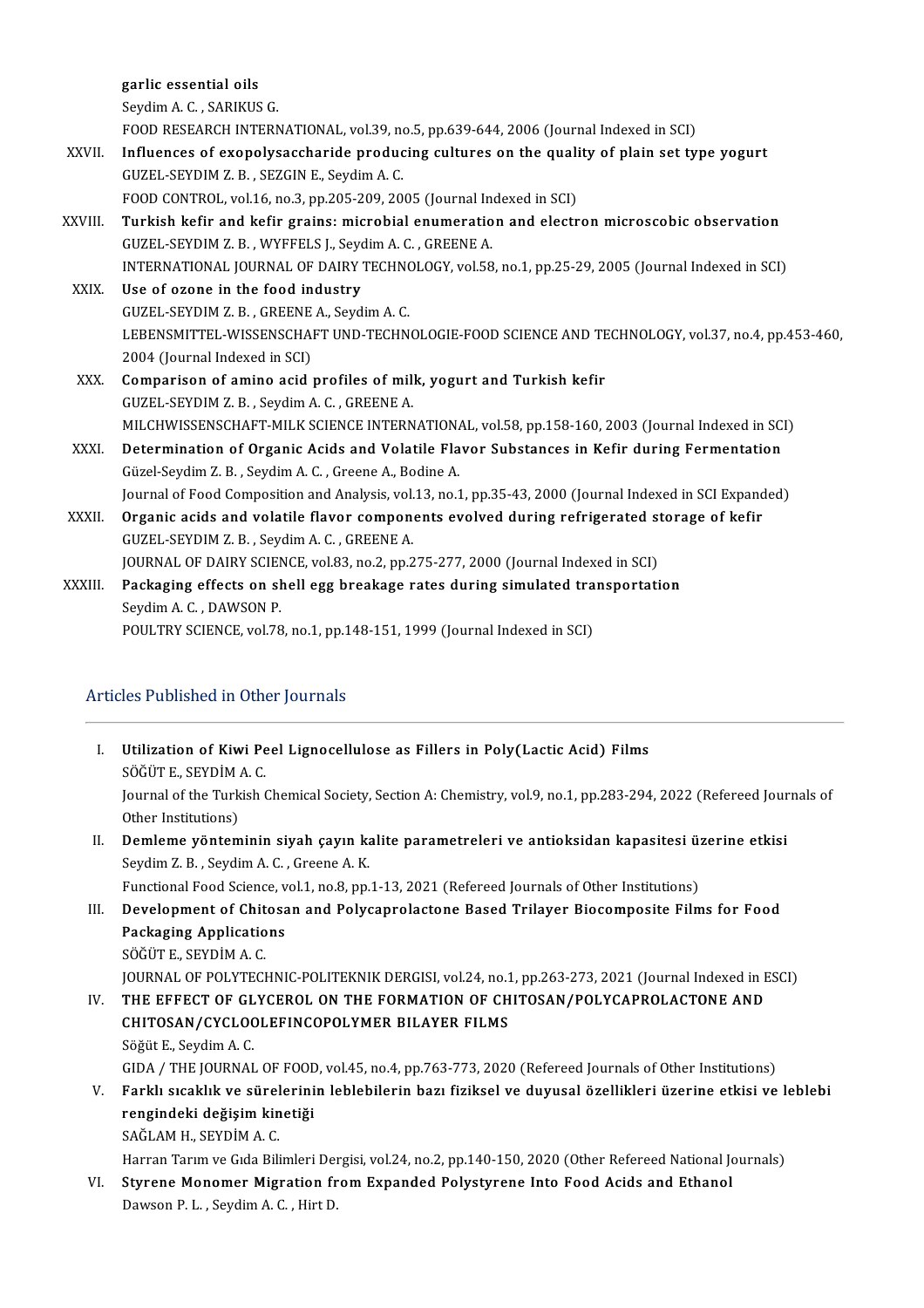garlic essential oils

SeydimA.C. ,SARIKUSG.

FOODRESEARCHINTERNATIONAL,vol.39,no.5,pp.639-644,2006(Journal IndexedinSCI)

- Seydim A. C. , SARIKUS G.<br>FOOD RESEARCH INTERNATIONAL, vol.39, no.5, pp.639-644, 2006 (Journal Indexed in SCI)<br>XXVII. Influences of exopolysaccharide producing cultures on the quality of plain set type yogurt<br>CUZEL SEVDIM FOOD RESEARCH INTERNATIONAL, vol.39, no<br>Influences of exopolysaccharide produc<br>GUZEL-SEYDIM Z. B. , SEZGIN E., Seydim A. C.<br>FOOD CONTROL, vol.16, no.2, np.305, 309, 30 Influences of exopolysaccharide producing cultures on the quali<br>GUZEL-SEYDIM Z. B. , SEZGIN E., Seydim A. C.<br>FOOD CONTROL, vol.16, no.3, pp.205-209, 2005 (Journal Indexed in SCI)<br>Turkish kofir and kofir grains: misrobial e GUZEL-SEYDIM Z. B. , SEZGIN E., Seydim A. C.<br>FOOD CONTROL, vol.16, no.3, pp.205-209, 2005 (Journal Indexed in SCI)<br>XXVIII. Turkish kefir and kefir grains: microbial enumeration and electron microscobic observation<br>CUZE
- FOOD CONTROL, vol.16, no.3, pp.205-209, 2005 (Journal In<br>Turkish kefir and kefir grains: microbial enumeratio<br>GUZEL-SEYDIM Z. B. , WYFFELS J., Seydim A. C. , GREENE A.<br>INTERNATIONAL JOURNAL OF DAIRY TEGUNOLOCY, vol.59 Turkish kefir and kefir grains: microbial enumeration and electron microscobic observation<br>GUZEL-SEYDIM Z. B. , WYFFELS J., Seydim A. C. , GREENE A.<br>INTERNATIONAL JOURNAL OF DAIRY TECHNOLOGY, vol.58, no.1, pp.25-29, 2005 ( GUZEL-SEYDIM Z. B. , WYFFELS J., Seydim A. C. , GREENE A.<br>INTERNATIONAL JOURNAL OF DAIRY TECHNOLOGY, vol.58<br>XXIX. Use of ozone in the food industry
- INTERNATIONAL JOURNAL OF DAIRY TECHNO<br>Use of ozone in the food industry<br>GUZEL-SEYDIM Z. B. , GREENE A., Seydim A. C.<br>LEPENSMITTEL WISSENSCHAET UND TECHN LEBENSMITTEL-WISSENSCHAFT UND-TECHNOLOGIE-FOOD SCIENCE AND TECHNOLOGY, vol.37, no.4, pp.453-460,<br>2004 (Journal Indexed in SCI) GUZEL-SEYDIM Z. B., GREENE A., Seydim A. C. LEBENSMITTEL-WISSENSCHAFT UND-TECHNOLOGIE-FOOD SCIENCE AND TE<br>2004 (Journal Indexed in SCI)<br>XXX. Comparison of amino acid profiles of milk, yogurt and Turkish kefir<br>CUZEL SEVDIM Z.B. Savdim A.G. CREENE A
- 2004 (Journal Indexed in SCI)<br>Comparison of amino acid profiles of mill<br>GUZEL-SEYDIM Z. B. , Seydim A. C. , GREENE A.<br>MILCHWISSENSCHAET MIL*V SC*IENCE INTERN GUZEL-SEYDIM Z. B. , Seydim A. C. , GREENE A.<br>MILCHWISSENSCHAFT-MILK SCIENCE INTERNATIONAL, vol.58, pp.158-160, 2003 (Journal Indexed in SCI) GUZEL-SEYDIM Z. B., Seydim A. C., GREENE A.<br>MILCHWISSENSCHAFT-MILK SCIENCE INTERNATIONAL, vol.58, pp.158-160, 2003 (Journal Indexed in SC.<br>XXXI. Determination of Organic Acids and Volatile Flavor Substances in Kefir during
- MILCHWISSENSCHAFT-MILK SCIENCE INTERNATION.<br>Determination of Organic Acids and Volatile Fla<br>Güzel-Seydim Z. B. , Seydim A. C. , Greene A., Bodine A.<br>Journal of Eood Composition and Anglysis vol 12, no.1 Güzel-Seydim Z. B. , Seydim A. C. , Greene A., Bodine A.<br>Journal of Food Composition and Analysis, vol.13, no.1, pp.35-43, 2000 (Journal Indexed in SCI Expanded)
- Güzel-Seydim Z. B. , Seydim A. C. , Greene A., Bodine A.<br>Journal of Food Composition and Analysis, vol.13, no.1, pp.35-43, 2000 (Journal Indexed in SCI Expand<br>XXXII. Organic acids and volatile flavor components evolved dur Journal of Food Composition and Analysis, vol.<br>Organic acids and volatile flavor compone<br>GUZEL-SEYDIM Z. B. , Seydim A. C. , GREENE A.<br>JOURNAL OF DAIRY SCIENCE vol.22, no.2, nn.2 Organic acids and volatile flavor components evolved during refrigerated st<br>GUZEL-SEYDIM Z. B. , Seydim A. C. , GREENE A.<br>JOURNAL OF DAIRY SCIENCE, vol.83, no.2, pp.275-277, 2000 (Journal Indexed in SCI)<br>Packaging offects

GUZEL-SEYDIM Z. B. , Seydim A. C. , GREENE A.<br>JOURNAL OF DAIRY SCIENCE, vol.83, no.2, pp.275-277, 2000 (Journal Indexed in SCI)<br>XXXIII. Packaging effects on shell egg breakage rates during simulated transportation<br>Soudim A JOURNAL OF DAIRY SCIEN<br>Packaging effects on sh<br>Seydim A. C. , DAWSON P.<br>POULTPY SCIENCE vol 79 Seydim A. C. , DAWSON P.<br>POULTRY SCIENCE, vol.78, no.1, pp.148-151, 1999 (Journal Indexed in SCI)

# Articles Published in Other Journals

rticles Published in Other Journals<br>I. Utilization of Kiwi Peel Lignocellulose as Fillers in Poly(Lactic Acid) Films<br>SÖĞÜTE SEVDİMAS **Utilization of Kiwi Pe<br>SÖĞÜTE., SEYDİM A. C.<br>Journal of the Turkish (** Utilization of Kiwi Peel Lignocellulose as Fillers in Poly(Lactic Acid) Films<br>SÖĞÜT E., SEYDİM A. C.<br>Journal of the Turkish Chemical Society, Section A: Chemistry, vol.9, no.1, pp.283-294, 2022 (Refereed Journals of<br>Other SÖĞÜT E., SEYDİM<br>Journal of the Turk<br>Other Institutions)<br>Domlama väntam Journal of the Turkish Chemical Society, Section A: Chemistry, vol.9, no.1, pp.283-294, 2022 (Refereed Jour<br>Other Institutions)<br>II. Demleme yönteminin siyah çayın kalite parametreleri ve antioksidan kapasitesi üzerine etki Other Institutions)<br>Demleme yönteminin siyah çayın ka<br>Seydim Z. B. , Seydim A. C. , Greene A. K.<br>Eunstianal Eood Ssianse val 1 no 8 nn Demleme yönteminin siyah çayın kalite parametreleri ve antioksidan kapasitesi ü:<br>Seydim Z. B. , Seydim A. C. , Greene A. K.<br>Functional Food Science, vol.1, no.8, pp.1-13, 2021 (Refereed Journals of Other Institutions)<br>Deve Seydim Z. B. , Seydim A. C. , Greene A. K.<br>Functional Food Science, vol.1, no.8, pp.1-13, 2021 (Refereed Journals of Other Institutions)<br>III. Development of Chitosan and Polycaprolactone Based Trilayer Biocomposite Films f Functional Food Science, v<br>Development of Chitosa<br>Packaging Applications<br>SÖČÜTE SEVDİM A C Development of Chit<br>Packaging Applicatio<br>SÖĞÜT E., SEYDİM A. C.<br>JOUPMAL OF POLYTECI Packaging Applications<br>SÖĞÜT E., SEYDİM A. C.<br>JOURNAL OF POLYTECHNIC-POLITEKNIK DERGISI, vol.24, no.1, pp.263-273, 2021 (Journal Indexed in ESCI)<br>THE EFFECT OF CLYCEROL ON THE FORMATION OF CHITOSAN (POLYCARROLACTONE AND

SÖĞÜT E., SEYDİM A. C.<br>JOURNAL OF POLYTECHNIC-POLITEKNIK DERGISI, vol.24, no.1, pp.263-273, 2021 (Journal Indexed in E<br>IV. THE EFFECT OF GLYCEROL ON THE FORMATION OF CHITOSAN/POLYCAPROLACTONE AND JOURNAL OF POLYTECHNIC-POLITEKNIK DERGISI, vol.24, no.1<br>THE EFFECT OF GLYCEROL ON THE FORMATION OF CH<br>CHITOSAN/CYCLOOLEFINCOPOLYMER BILAYER FILMS THE EFFECT OF GL<br>CHITOSAN/CYCLOC<br>Söğüt E., Seydim A. C.<br>CIDA / THE JOUPNAL CHITOSAN/CYCLOOLEFINCOPOLYMER BILAYER FILMS<br>Söğüt E., Seydim A. C.<br>GIDA / THE JOURNAL OF FOOD, vol.45, no.4, pp.763-773, 2020 (Refereed Journals of Other Institutions)<br>Farklı avakklı ve aüralarinin lablabilerin bazı fizika Söğüt E., Seydim A. C.<br>GIDA / THE JOURNAL OF FOOD, vol.45, no.4, pp.763-773, 2020 (Refereed Journals of Other Institutions)<br>V. Farklı sıcaklık ve sürelerinin leblebilerin bazı fiziksel ve duyusal özellikleri üzerine etk

# GIDA / THE JOURNAL OF FOOD<br>Farklı sıcaklık ve sürelerini<br>rengindeki değişim kinetiği<br>SAĞLAM H. SEVDİM A *C* Farklı sıcaklık ve sürel<br>rengindeki değişim kin<br>SAĞLAM H., SEYDİM A. C.<br>Harran Tarım ve Gıda Bili re<mark>ngindeki değişim kinetiği</mark><br>SAĞLAM H., SEYDİM A. C.<br>Harran Tarım ve Gıda Bilimleri Dergisi, vol.24, no.2, pp.140-150, 2020 (Other Refereed National Journals)

SAĞLAM H., SEYDİM A. C.<br>Harran Tarım ve Gıda Bilimleri Dergisi, vol.24, no.2, pp.140-150, 2020 (Other Refereed National Journal Journal Journal of L. Sayrene Monomer Migration from Expanded Polystyrene Into Food Acids and Harran Tarım ve Gıda Bilimleri Deı<br><mark>Styrene Monomer Migration fr</mark><br>Dawson P. L. , Seydim A. C. , Hirt D.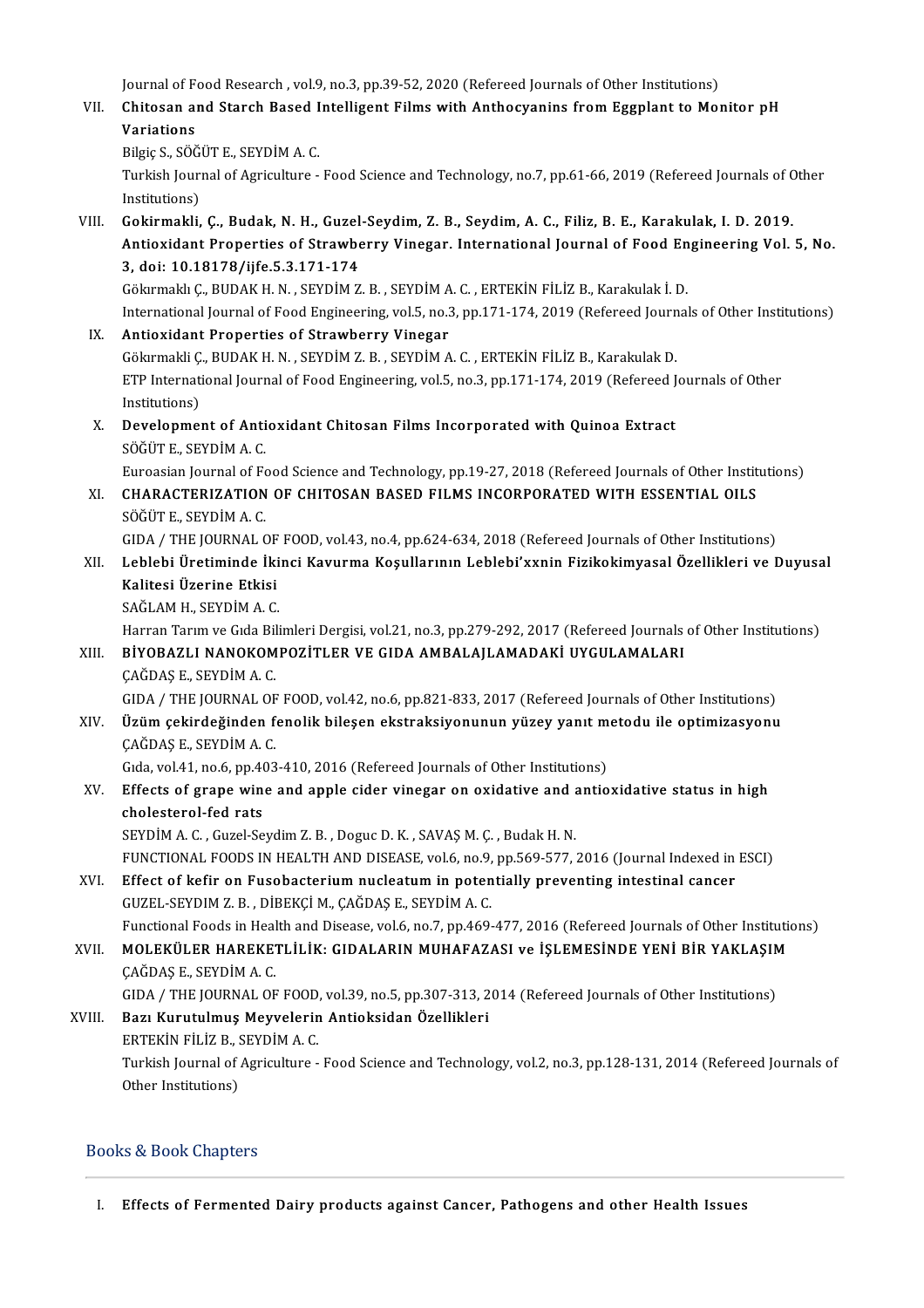Journal of Food Research , vol.9, no.3, pp.39-52, 2020 (Refereed Journals of Other Institutions)<br>Chitagen and Stareh Baged Intelligent Films with Anthogyaning from Eggnlant to Mor

Journal of Food Research , vol.9, no.3, pp.39-52, 2020 (Refereed Journals of Other Institutions)<br>VII. Chitosan and Starch Based Intelligent Films with Anthocyanins from Eggplant to Monitor pH Journal of F<br>Chitosan al<br>Variations<br><sup>Pilgio</sup>s SÖÖ Chitosan and Starch Based I<br>Variations<br>Bilgiç S., SÖĞÜT E., SEYDİM A. C.<br>Turkich Journal of Agrigulture

Variations<br>Bilgiç S., SÖĞÜT E., SEYDİM A. C.<br>Turkish Journal of Agriculture - Food Science and Technology, no.7, pp.61-66, 2019 (Refereed Journals of Other Bilgiç S., SÖĞ<br>Turkish Jouri<br>Institutions)<br>Cokirmakli Turkish Journal of Agriculture - Food Science and Technology, no.7, pp.61-66, 2019 (Refereed Journals of C<br>Institutions)<br>VIII. Gokirmakli, Ç., Budak, N. H., Guzel-Seydim, Z. B., Seydim, A. C., Filiz, B. E., Karakulak, I. D

Institutions)<br>Gokirmakli, Ç., Budak, N. H., Guzel-Seydim, Z. B., Seydim, A. C., Filiz, B. E., Karakulak, I. D. 2019.<br>Antioxidant Properties of Strawberry Vinegar. International Journal of Food Engineering Vol. 5, No.<br>3. do Gokirmakli, Ç., Budak, N. H., Guzel<br>Antioxidant Properties of Strawbe<br>3, doi: 10.18178/ijfe.5.3.171-174<br>Cölurmakk C. BUDAK H.N., SEVDİM Z 3, doi: 10.18178/ijfe.5.3.171-174<br>Gökırmaklı Ç., BUDAK H. N. , SEYDİM Z. B. , SEYDİM A. C. , ERTEKİN FİLİZ B., Karakulak İ. D.<br>International Journal of Food Engineering, vol.5, no.3, pp.171-174, 2019 (Refereed Journals of

GökırmaklıÇ.,BUDAKH.N. ,SEYDİMZ.B. ,SEYDİMA.C. ,ERTEKİNFİLİZB.,Karakulakİ.D.

IX. Antioxidant Properties of Strawberry Vinegar<br>Gökirmakli Ç., BUDAK H. N. , SEYDİM Z. B. , SEYDİM A. C. , ERTEKİN FİLİZ B., Karakulak D. International Journal of Food Engineering, vol.5, no.3, pp.171-174, 2019 (Refereed Journ<br>**Antioxidant Properties of Strawberry Vinegar**<br>Gökırmakli Ç., BUDAK H. N. , SEYDİM Z. B. , SEYDİM A. C. , ERTEKİN FİLİZ B., Karakulak Antioxidant Properties of Strawberry Vinegar<br>Gökırmakli Ç., BUDAK H. N. , SEYDİM Z. B. , SEYDİM A. C. , ERTEKİN FİLİZ B., Karakulak D.<br>ETP International Journal of Food Engineering, vol.5, no.3, pp.171-174, 2019 (Refereed Gökirmakli Ç.<br>ETP Internati<br>Institutions)<br>Develenme ETP International Journal of Food Engineering, vol.5, no.3, pp.171-174, 2019 (Refereed J<br>Institutions)<br>X. Development of Antioxidant Chitosan Films Incorporated with Quinoa Extract<br>SÖĞÜTE SEVDİMA C

Institutions)<br>X. Development of Antioxidant Chitosan Films Incorporated with Quinoa Extract<br>SÖĞÜT E., SEYDİM A. C. Development of Antioxidant Chitosan Films Incorporated with Quinoa Extract<br>SÖĞÜT E., SEYDİM A. C.<br>Euroasian Journal of Food Science and Technology, pp.19-27, 2018 (Refereed Journals of Other Institutions)<br>CHARACTERIZATION

SÖĞÜT E., SEYDİM A. C.<br>Euroasian Journal of Food Science and Technology, pp.19-27, 2018 (Refereed Journals of Other Instit<br>XI. CHARACTERIZATION OF CHITOSAN BASED FILMS INCORPORATED WITH ESSENTIAL OILS<br>SÖĞÜT E. SEVDİM A. G Euroasian Journal of Fe<br>CHARACTERIZATION<br>SÖĞÜT E., SEYDİM A. C.<br>CIDA / THE JOURNAL G CHARACTERIZATION OF CHITOSAN BASED FILMS INCORPORATED WITH ESSENTIAL OILS<br>SÖĞÜT E., SEYDİM A. C.<br>GIDA / THE JOURNAL OF FOOD, vol.43, no.4, pp.624-634, 2018 (Refereed Journals of Other Institutions)<br>Loblabi Üretiminde İkinc

SÖĞÜT E., SEYDİM A. C.<br>GIDA / THE JOURNAL OF FOOD, vol.43, no.4, pp.624-634, 2018 (Refereed Journals of Other Institutions)<br>XII. Leblebi Üretiminde İkinci Kavurma Koşullarının Leblebi'xxnin Fizikokimyasal Özellikleri v GIDA / THE JOURNAL OF<br>Leblebi Üretiminde İki<br>Kalitesi Üzerine Etkisi<br>SAČLAM H. SEVDİM A.C Leblebi Üretiminde İki<br>Kalitesi Üzerine Etkisi<br>SAĞLAM H., SEYDİM A. C.<br>Harran Tarım ve Gıda Bili Kalitesi Üzerine Etkisi<br>SAĞLAM H., SEYDİM A. C.<br>Harran Tarım ve Gıda Bilimleri Dergisi, vol.21, no.3, pp.279-292, 2017 (Refereed Journals of Other Institutions)<br>RİYORAZLI NANOKOMBOZİTLER VE GIDA AMRALAJI AMADAKİ UYGULAMALA

# SAĞLAM H., SEYDİM A. C.<br>Harran Tarım ve Gıda Bilimleri Dergisi, vol.21, no.3, pp.279-292, 2017 (Refereed Journals<br>XIII. BİYOBAZLI NANOKOMPOZİTLER VE GIDA AMBALAJLAMADAKİ UYGULAMALARI<br>CAĞDAS E. SEYDİM A.C Harran Tarım ve Gıda Bi<mark>l</mark><br>BİYOBAZLI NANOKOM<br>ÇAĞDAŞ E., SEYDİM A. C.<br>CIDA / TUE JOUPNAL OE BİYOBAZLI NANOKOMPOZİTLER VE GIDA AMBALAJLAMADAKİ UYGULAMALARI<br>ÇAĞDAŞ E., SEYDİM A. C.<br>GIDA / THE JOURNAL OF FOOD, vol.42, no.6, pp.821-833, 2017 (Refereed Journals of Other Institutions)

CAĞDAŞ E., SEYDİM A. C.<br>GIDA / THE JOURNAL OF FOOD, vol.42, no.6, pp.821-833, 2017 (Refereed Journals of Other Institutions)<br>XIV. Üzüm çekirdeğinden fenolik bileşen ekstraksiyonunun yüzey yanıt metodu ile optimizasyonu GIDA / THE JOURNAL OF<br>**Üzüm çekirdeğinden f**<br>ÇAĞDAŞ E., SEYDİM A. C. Üzüm çekirdeğinden fenolik bileşen ekstraksiyonunun yüzey yanıt m<br>ÇAĞDAŞ E., SEYDİM A. C.<br>Gıda, vol.41, no.6, pp.403-410, 2016 (Refereed Journals of Other Institutions)<br>Effects of grane wine and annla sider vineser en avid

CAĞDAŞ E., SEYDİM A. C.<br>Gıda, vol.41, no.6, pp.403-410, 2016 (Refereed Journals of Other Institutions)<br>XV. Effects of grape wine and apple cider vinegar on oxidative and antioxidative status in high<br>shelesterel fed rat Gida, vol.41, no.6, pp.40<br>Effects of grape wind<br>cholesterol-fed rats<br>SEVDIM A.C. Curel Se cholesterol-fed rats<br>SEYDİM A. C. , Guzel-Seydim Z. B. , Doguc D. K. , SAVAŞ M. Ç. , Budak H. N. cholesterol-fed rats<br>SEYDİM A. C. , Guzel-Seydim Z. B. , Doguc D. K. , SAVAŞ M. Ç. , Budak H. N.<br>FUNCTIONAL FOODS IN HEALTH AND DISEASE, vol.6, no.9, pp.569-577, 2016 (Journal Indexed in ESCI)<br>Effect of kefin en Eusebester

SEYDİM A. C., Guzel-Seydim Z. B., Doguc D. K., SAVAŞ M. Ç., Budak H. N.<br>FUNCTIONAL FOODS IN HEALTH AND DISEASE, vol.6, no.9, pp.569-577, 2016 (Journal Indexed in<br>XVI. Effect of kefir on Fusobacterium nucleatum in potential FUNCTIONAL FOODS IN HEALTH AND DISEASE, vol.6, no.9,<br>Effect of kefir on Fusobacterium nucleatum in poten<br>GUZEL-SEYDIM Z. B. , DİBEKÇİ M., ÇAĞDAŞ E., SEYDİM A. C.<br>Eunctional Foods in Health and Disease vol.6, no.7, nn.469. Effect of kefir on Fusobacterium nucleatum in potentially preventing intestinal cancer<br>GUZEL-SEYDIM Z. B. , DİBEKÇİ M., ÇAĞDAŞ E., SEYDİM A. C.<br>Functional Foods in Health and Disease, vol.6, no.7, pp.469-477, 2016 (Referee

GUZEL-SEYDIM Z. B. , DİBEKÇİ M., ÇAĞDAŞ E., SEYDİM A. C.<br>Functional Foods in Health and Disease, vol.6, no.7, pp.469-477, 2016 (Refereed Journals of Other Institution<br>XVII. MOLEKÜLER HAREKETLİLİK: GIDALARIN MUHAFAZASI ve İ Functional Foods in Heal<br>MOLEKÜLER HAREKE.<br>ÇAĞDAŞ E., SEYDİM A. C.<br>CIDA / THE JOUPNAL OF MOLEKÜLER HAREKETLİLİK: GIDALARIN MUHAFAZASI ve İŞLEMESİNDE YENİ BİR YAKLAŞIM<br>CAĞDAS E., SEYDİM A. C.

GIDA / THE JOURNAL OF FOOD, vol.39, no.5, pp.307-313, 2014 (Refereed Journals of Other Institutions)

# XVIII. Bazı Kurutulmuş Meyvelerin Antioksidan Özellikleri ERTEKIN FILIZ B., SEYDIM A. C.

Turkish Journal of Agriculture - Food Science and Technology, vol.2, no.3, pp.128-131, 2014 (Refereed Journals of<br>Other Institutions)

# Books&BookChapters

I. Effects of Fermented Dairy products against Cancer, Pathogens and other Health Issues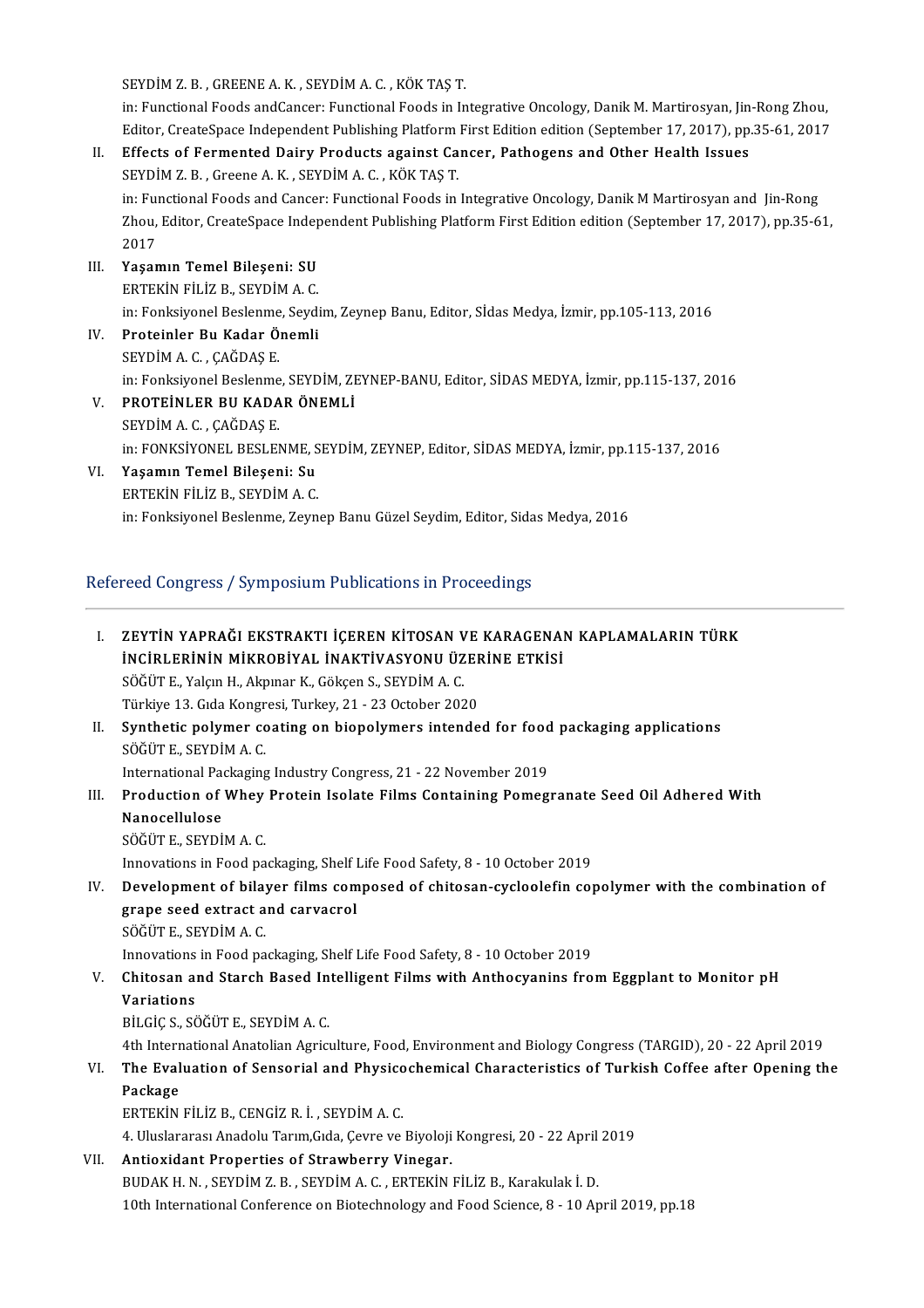SEYDİMZ.B. ,GREENEA.K. ,SEYDİMA.C. ,KÖKTAŞT.

SEYDİM Z. B. , GREENE A. K. , SEYDİM A. C. , KÖK TAŞ T.<br>in: Functional Foods andCancer: Functional Foods in Integrative Oncology, Danik M. Martirosyan, Jin-Rong Zhou,<br>Editor CreateSpace Independent Bublishing Platform Eins SEYDİM Z. B. , GREENE A. K. , SEYDİM A. C. , KÖK TAŞ T.<br>in: Functional Foods andCancer: Functional Foods in Integrative Oncology, Danik M. Martirosyan, Jin-Rong Zhou,<br>Editor, CreateSpace Independent Publishing Platform Fir

- Editor, CreateSpace Independent Publishing Platform First Edition edition (September 17, 2017), pp.35-61, 2017<br>II. Effects of Fermented Dairy Products against Cancer, Pathogens and Other Health Issues SEYDİMZ.B. ,GreeneA.K. ,SEYDİMA.C. ,KÖKTAŞT. in: Functional Foods and Cancer: Functional Foods in Integrative Oncology, Danik M Martirosyan and Jin-Rong SEYDİM Z. B. , Greene A. K. , SEYDİM A. C. , KÖK TAŞ T.<br>in: Functional Foods and Cancer: Functional Foods in Integrative Oncology, Danik M Martirosyan and Jin-Rong<br>Zhou, Editor, CreateSpace Independent Publishing Platform in: Fui<br>Zhou,<br>2017<br>Yasar 2017<br>III. Yaşamın Temel Bileşeni: SU
- ERTEKİN FİLİZ B., SEYDİM A.C. Yaşamın Temel Bileşeni: SU<br>ERTEKİN FİLİZ B., SEYDİM A. C.<br>in: Fonksiyonel Beslenme, Seydim, Zeynep Banu, Editor, Sİdas Medya, İzmir, pp.105-113, 2016<br>Preteinler Bu Kadar Önemli
- IV. Proteinler Bu Kadar Önemli in: Fonksiyonel Beslenme<br><mark>Proteinler Bu Kadar Ö</mark><br>SEYDİM A. C. , ÇAĞDAŞ E.<br>in: Fonksiyonel Beslenme Proteinler Bu Kadar Önemli<br>SEYDİM A. C. , ÇAĞDAŞ E.<br>in: Fonksiyonel Beslenme, SEYDİM, ZEYNEP-BANU, Editor, SİDAS MEDYA, İzmir, pp.115-137, 2016<br>PROTEİNLER BU KADAR ÖNEMLİ
- V. PROTEİNLER BU KADAR ÖNEMLİ in: Fonksiyonel Beslenme<br>PROTEINLER BU KADA<br>SEYDİM A. C. , ÇAĞDAŞ E.<br>in: FONKSİYONEL BESLEN in: FONKSİYONEL BESLENME, SEYDİM, ZEYNEP, Editor, SİDAS MEDYA, İzmir, pp.115-137, 2016
- VI. Yaşamın Temel Bileşeni: Su ERTEKİN FİLİZ B., SEYDİM A.C. in: Fonksiyonel Beslenme, Zeynep Banu Güzel Seydim, Editor, Sidas Medya, 2016

# RefereedCongress/SymposiumPublicationsinProceedings

|      | Refereed Congress / Symposium Publications in Proceedings                                                                      |  |  |
|------|--------------------------------------------------------------------------------------------------------------------------------|--|--|
| L    | ZEYTİN YAPRAĞI EKSTRAKTI İÇEREN KİTOSAN VE KARAGENAN KAPLAMALARIN TÜRK<br>İNCİRLERİNİN MİKROBİYAL İNAKTİVASYONU ÜZERİNE ETKİSİ |  |  |
|      | SÖĞÜT E., Yalçın H., Akpınar K., Gökçen S., SEYDİM A.C.                                                                        |  |  |
|      | Türkiye 13. Gıda Kongresi, Turkey, 21 - 23 October 2020                                                                        |  |  |
| Н.   | Synthetic polymer coating on biopolymers intended for food packaging applications                                              |  |  |
|      | SÖĞÜT E., SEYDİM A.C.                                                                                                          |  |  |
|      | International Packaging Industry Congress, 21 - 22 November 2019                                                               |  |  |
| III. | Production of Whey Protein Isolate Films Containing Pomegranate Seed Oil Adhered With                                          |  |  |
|      | Nanocellulose                                                                                                                  |  |  |
|      | SÖĞÜT E., SEYDİM A.C.                                                                                                          |  |  |
|      | Innovations in Food packaging, Shelf Life Food Safety, 8 - 10 October 2019                                                     |  |  |
| IV.  | Development of bilayer films composed of chitosan-cycloolefin copolymer with the combination of                                |  |  |
|      | grape seed extract and carvacrol                                                                                               |  |  |
|      | SÖĞÜT E, SEYDİM A.C.                                                                                                           |  |  |
|      | Innovations in Food packaging, Shelf Life Food Safety, 8 - 10 October 2019                                                     |  |  |
| V.   | Chitosan and Starch Based Intelligent Films with Anthocyanins from Eggplant to Monitor pH                                      |  |  |
|      | Variations                                                                                                                     |  |  |
|      | BILGIÇ S., SÖĞÜT E., SEYDİM A. C.                                                                                              |  |  |
|      | 4th International Anatolian Agriculture, Food, Environment and Biology Congress (TARGID), 20 - 22 April 2019                   |  |  |
| VI.  | The Evaluation of Sensorial and Physicochemical Characteristics of Turkish Coffee after Opening the                            |  |  |
|      | Package                                                                                                                        |  |  |
|      | ERTEKIN FILIZ B., CENGIZ R. İ., SEYDIM A. C.                                                                                   |  |  |
|      | 4. Uluslararası Anadolu Tarım, Gıda, Çevre ve Biyoloji Kongresi, 20 - 22 April 2019                                            |  |  |
| VII. | Antioxidant Properties of Strawberry Vinegar.                                                                                  |  |  |
|      | BUDAK H. N., SEYDİM Z. B., SEYDİM A. C., ERTEKİN FİLİZ B., Karakulak İ. D.                                                     |  |  |
|      | 10th International Conference on Biotechnology and Food Science, 8 - 10 April 2019, pp.18                                      |  |  |
|      |                                                                                                                                |  |  |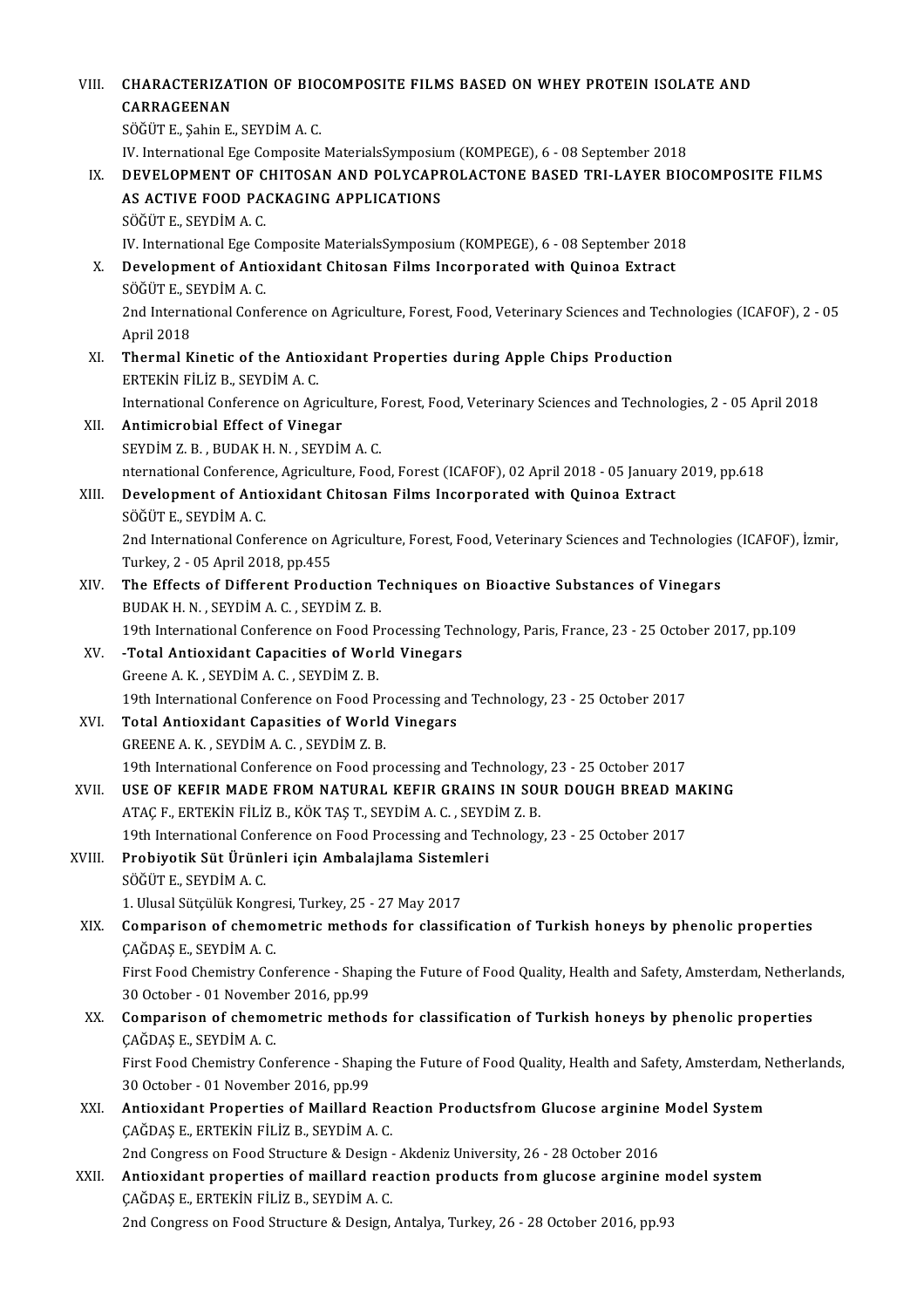| VIII.  | <b>CHARACTERIZATION OF BIOCOMPOSITE FILMS BASED ON WHEY PROTEIN ISOLATE AND</b>                                                             |
|--------|---------------------------------------------------------------------------------------------------------------------------------------------|
|        | CARRAGEENAN                                                                                                                                 |
|        | SÖĞÜT E., Şahin E., SEYDİM A.C.                                                                                                             |
|        | IV. International Ege Composite MaterialsSymposium (KOMPEGE), 6 - 08 September 2018                                                         |
| IX.    | DEVELOPMENT OF CHITOSAN AND POLYCAPROLACTONE BASED TRI-LAYER BIOCOMPOSITE FILMS                                                             |
|        | AS ACTIVE FOOD PACKAGING APPLICATIONS                                                                                                       |
|        | SÖĞÜT E., SEYDİM A.C.                                                                                                                       |
|        | IV. International Ege Composite MaterialsSymposium (KOMPEGE), 6 - 08 September 2018                                                         |
| X.     | Development of Antioxidant Chitosan Films Incorporated with Quinoa Extract                                                                  |
|        | SÖĞÜT E., SEYDİM A.C.                                                                                                                       |
|        | 2nd International Conference on Agriculture, Forest, Food, Veterinary Sciences and Technologies (ICAFOF), 2 - 05                            |
|        | April 2018                                                                                                                                  |
| XI.    | Thermal Kinetic of the Antioxidant Properties during Apple Chips Production                                                                 |
|        | ERTEKIN FILIZ B., SEYDIM A. C.                                                                                                              |
|        | International Conference on Agriculture, Forest, Food, Veterinary Sciences and Technologies, 2 - 05 April 2018                              |
| XII.   | Antimicrobial Effect of Vinegar                                                                                                             |
|        | SEYDIM Z. B., BUDAK H. N., SEYDIM A. C.                                                                                                     |
|        | nternational Conference, Agriculture, Food, Forest (ICAFOF), 02 April 2018 - 05 January 2019, pp.618                                        |
| XIII.  | Development of Antioxidant Chitosan Films Incorporated with Quinoa Extract                                                                  |
|        | SÖĞÜT E., SEYDİM A.C.                                                                                                                       |
|        | 2nd International Conference on Agriculture, Forest, Food, Veterinary Sciences and Technologies (ICAFOF), İzmir,                            |
|        | Turkey, 2 - 05 April 2018, pp.455                                                                                                           |
| XIV.   | The Effects of Different Production Techniques on Bioactive Substances of Vinegars                                                          |
|        | BUDAK H. N., SEYDİM A. C., SEYDİM Z. B.                                                                                                     |
|        | 19th International Conference on Food Processing Technology, Paris, France, 23 - 25 October 2017, pp.109                                    |
| XV.    | -Total Antioxidant Capacities of World Vinegars                                                                                             |
|        | Greene A K, SEYDIM A C, SEYDIM Z B.                                                                                                         |
|        | 19th International Conference on Food Processing and Technology, 23 - 25 October 2017                                                       |
| XVI.   | <b>Total Antioxidant Capasities of World Vinegars</b>                                                                                       |
|        | GREENE A K, SEYDIM A C, SEYDIM Z B.                                                                                                         |
|        | 19th International Conference on Food processing and Technology, 23 - 25 October 2017                                                       |
| XVII.  | USE OF KEFIR MADE FROM NATURAL KEFIR GRAINS IN SOUR DOUGH BREAD MAKING<br>ATAÇ F., ERTEKİN FİLİZ B., KÖK TAŞ T., SEYDİM A. C., SEYDİM Z. B. |
|        | 19th International Conference on Food Processing and Technology, 23 - 25 October 2017                                                       |
| XVIII. | Probiyotik Süt Ürünleri için Ambalajlama Sistemleri                                                                                         |
|        | SÖĞÜT E., SEYDİM A.C.                                                                                                                       |
|        | 1. Ulusal Sütçülük Kongresi, Turkey, 25 - 27 May 2017                                                                                       |
| XIX.   | Comparison of chemometric methods for classification of Turkish honeys by phenolic properties                                               |
|        | ÇAĞDAŞ E., SEYDİM A.C.                                                                                                                      |
|        | First Food Chemistry Conference - Shaping the Future of Food Quality, Health and Safety, Amsterdam, Netherlands,                            |
|        | 30 October - 01 November 2016, pp 99                                                                                                        |
| XX.    | Comparison of chemometric methods for classification of Turkish honeys by phenolic properties                                               |
|        | ÇAĞDAŞ E., SEYDİM A. C.                                                                                                                     |
|        | First Food Chemistry Conference - Shaping the Future of Food Quality, Health and Safety, Amsterdam, Netherlands,                            |
|        | 30 October - 01 November 2016, pp 99                                                                                                        |
| XXI.   | Antioxidant Properties of Maillard Reaction Productsfrom Glucose arginine Model System                                                      |
|        | ÇAĞDAŞ E., ERTEKİN FİLİZ B., SEYDİM A. C.                                                                                                   |
|        | 2nd Congress on Food Structure & Design - Akdeniz University, 26 - 28 October 2016                                                          |
| XXII.  | Antioxidant properties of maillard reaction products from glucose arginine model system                                                     |
|        | ÇAĞDAŞ E., ERTEKİN FİLİZ B., SEYDİM A.C.                                                                                                    |
|        | 2nd Congress on Food Structure & Design, Antalya, Turkey, 26 - 28 October 2016, pp.93                                                       |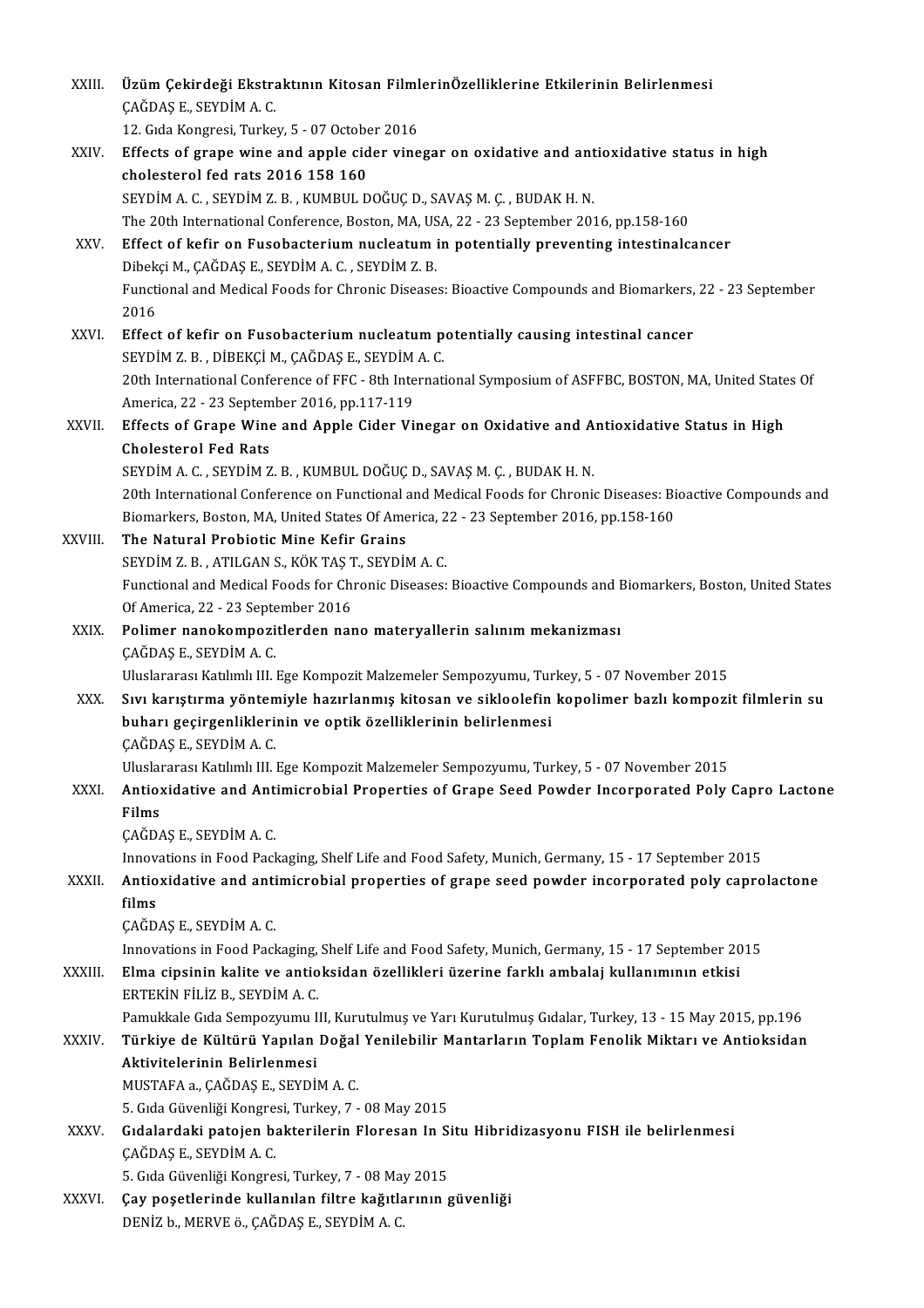| XXIII.  | Üzüm Çekirdeği Ekstraktının Kitosan FilmlerinÖzelliklerine Etkilerinin Belirlenmesi<br>ÇAĞDAŞ E., SEYDİM A. C.                                                                                       |
|---------|------------------------------------------------------------------------------------------------------------------------------------------------------------------------------------------------------|
|         | 12. Gida Kongresi, Turkey, 5 - 07 October 2016                                                                                                                                                       |
| XXIV.   | Effects of grape wine and apple cider vinegar on oxidative and antioxidative status in high<br>cholesterol fed rats 2016 158 160                                                                     |
|         | SEYDİM A.C., SEYDİM Z.B., KUMBUL DOĞUÇ D., SAVAŞ M.Ç., BUDAK H.N.                                                                                                                                    |
|         | The 20th International Conference, Boston, MA, USA, 22 - 23 September 2016, pp.158-160                                                                                                               |
| XXV.    | Effect of kefir on Fusobacterium nucleatum in potentially preventing intestinalcancer<br>Dibekçi M., ÇAĞDAŞ E., SEYDİM A. C., SEYDİM Z. B.                                                           |
|         | Functional and Medical Foods for Chronic Diseases: Bioactive Compounds and Biomarkers, 22 - 23 September<br>2016                                                                                     |
| XXVI.   | Effect of kefir on Fusobacterium nucleatum potentially causing intestinal cancer<br>SEYDİM Z.B., DİBEKÇİ M., ÇAĞDAŞ E., SEYDİM A.C.                                                                  |
|         | 20th International Conference of FFC - 8th International Symposium of ASFFBC, BOSTON, MA, United States Of                                                                                           |
|         | America, 22 - 23 September 2016, pp 117 119                                                                                                                                                          |
| XXVII.  | Effects of Grape Wine and Apple Cider Vinegar on Oxidative and Antioxidative Status in High                                                                                                          |
|         | <b>Cholesterol Fed Rats</b>                                                                                                                                                                          |
|         | SEYDİM A.C., SEYDİM Z.B., KUMBUL DOĞUÇ D., SAVAŞ M.Ç., BUDAK H.N.                                                                                                                                    |
|         | 20th International Conference on Functional and Medical Foods for Chronic Diseases: Bioactive Compounds and<br>Biomarkers, Boston, MA, United States Of America, 22 - 23 September 2016, pp.158-160  |
| XXVIII. | The Natural Probiotic Mine Kefir Grains                                                                                                                                                              |
|         | SEYDİM Z.B., ATILGAN S., KÖK TAŞ T., SEYDİM A.C.                                                                                                                                                     |
|         | Functional and Medical Foods for Chronic Diseases: Bioactive Compounds and Biomarkers, Boston, United States<br>Of America, 22 - 23 September 2016                                                   |
| XXIX.   | Polimer nanokompozitlerden nano materyallerin salınım mekanizması<br>ÇAĞDAŞ E., SEYDİM A. C.                                                                                                         |
|         | Uluslararası Katılımlı III. Ege Kompozit Malzemeler Sempozyumu, Turkey, 5 - 07 November 2015                                                                                                         |
| XXX.    | Sıvı karıştırma yöntemiyle hazırlanmış kitosan ve sikloolefin kopolimer bazlı kompozit filmlerin su<br>buharı geçirgenliklerinin ve optik özelliklerinin belirlenmesi                                |
|         | ÇAĞDAŞ E, SEYDİM A.C.                                                                                                                                                                                |
|         | Uluslararası Katılımlı III. Ege Kompozit Malzemeler Sempozyumu, Turkey, 5 - 07 November 2015                                                                                                         |
| XXXI.   | Antioxidative and Antimicrobial Properties of Grape Seed Powder Incorporated Poly Capro Lactone<br>Films                                                                                             |
|         | ÇAĞDAŞ E, SEYDİM A C                                                                                                                                                                                 |
| XXXII.  | Innovations in Food Packaging, Shelf Life and Food Safety, Munich, Germany, 15 - 17 September 2015<br>Antioxidative and antimicrobial properties of grape seed powder incorporated poly caprolactone |
|         | films<br>ÇAĞDAŞ E., SEYDİM A.C.                                                                                                                                                                      |
|         | Innovations in Food Packaging, Shelf Life and Food Safety, Munich, Germany, 15 - 17 September 2015                                                                                                   |
| XXXIII. | Elma cipsinin kalite ve antioksidan özellikleri üzerine farklı ambalaj kullanımının etkisi<br>ERTEKIN FILIZ B., SEYDIM A. C.                                                                         |
|         | Pamukkale Gıda Sempozyumu III, Kurutulmuş ve Yarı Kurutulmuş Gıdalar, Turkey, 13 - 15 May 2015, pp.196                                                                                               |
| XXXIV.  | Türkiye de Kültürü Yapılan Doğal Yenilebilir Mantarların Toplam Fenolik Miktarı ve Antioksidan<br>Aktivitelerinin Belirlenmesi                                                                       |
|         | MUSTAFA a , ÇAĞDAŞ E , SEYDİM A C.                                                                                                                                                                   |
|         | 5. Gıda Güvenliği Kongresi, Turkey, 7 - 08 May 2015                                                                                                                                                  |
| XXXV.   | Gıdalardaki patojen bakterilerin Floresan In Situ Hibridizasyonu FISH ile belirlenmesi<br>ÇAĞDAŞ E., SEYDİM A. C.                                                                                    |
|         | 5. Gıda Güvenliği Kongresi, Turkey, 7 - 08 May 2015                                                                                                                                                  |
| XXXVI.  | Çay poşetlerinde kullanılan filtre kağıtlarının güvenliği<br>DENİZ b., MERVE ö., ÇAĞDAŞ E., SEYDİM A.C.                                                                                              |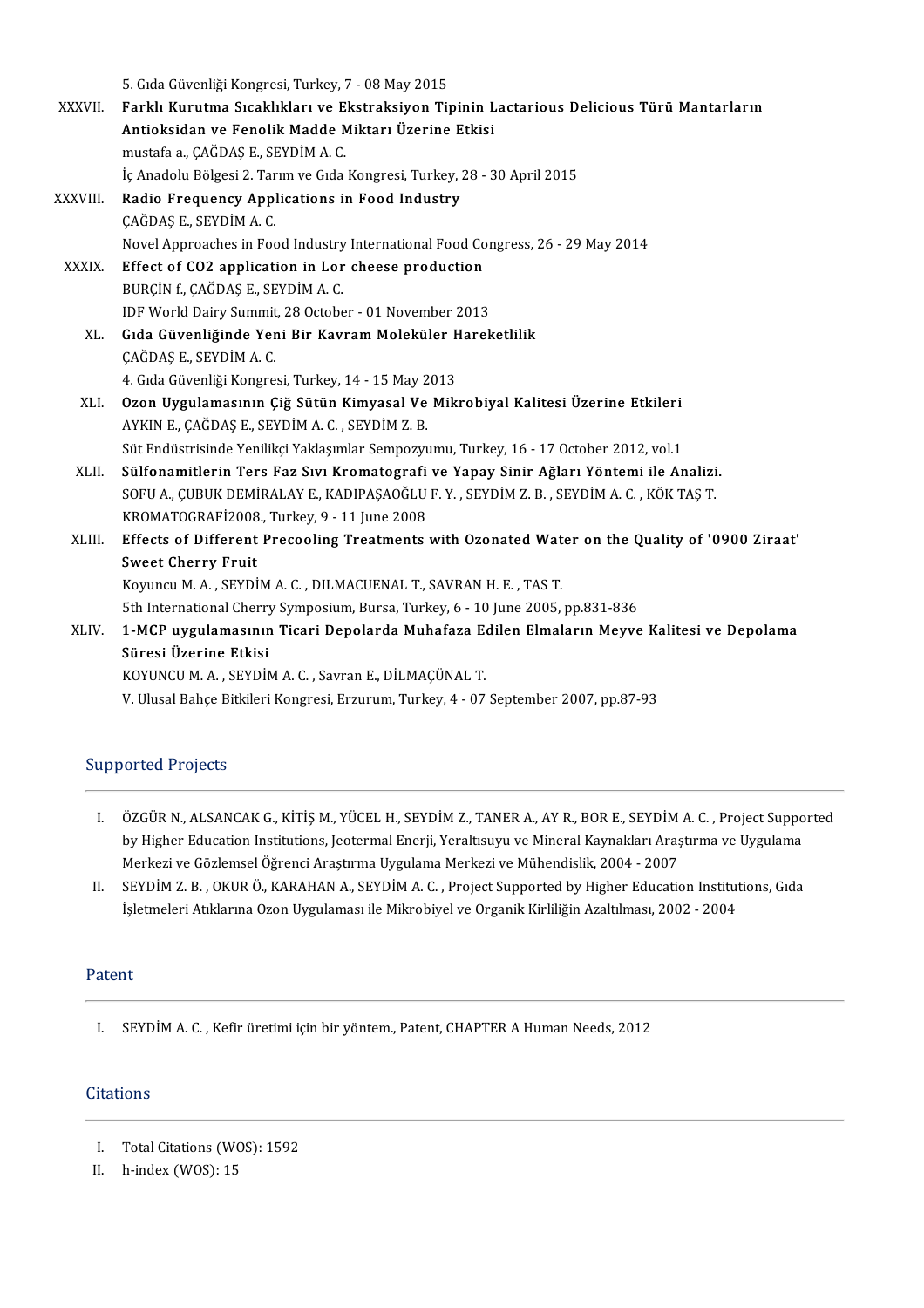5. Gıda Güvenliği Kongresi, Turkey, 7 - 08 May 2015<br>Farklı Kurutma Sısaklıkları ve Ekstraksiyan Tir

|               | 5. Gıda Güvenliği Kongresi, Turkey, 7 - 08 May 2015                                            |
|---------------|------------------------------------------------------------------------------------------------|
| <b>XXXVII</b> | Farklı Kurutma Sıcaklıkları ve Ekstraksiyon Tipinin Lactarious Delicious Türü Mantarların      |
|               | Antioksidan ve Fenolik Madde Miktarı Üzerine Etkisi                                            |
|               | mustafa a., ÇAĞDAŞ E., SEYDİM A.C.                                                             |
|               | İç Anadolu Bölgesi 2. Tarım ve Gıda Kongresi, Turkey, 28 - 30 April 2015                       |
| XXXVIII.      | Radio Frequency Applications in Food Industry                                                  |
|               | ÇAĞDAŞ E., SEYDİM A. C.                                                                        |
|               | Novel Approaches in Food Industry International Food Congress, 26 - 29 May 2014                |
| XXXIX.        | Effect of CO2 application in Lor cheese production                                             |
|               | BURÇIN f, CAĞDAŞ E, SEYDIM A.C.                                                                |
|               | IDF World Dairy Summit, 28 October - 01 November 2013                                          |
| XL.           | Gıda Güvenliğinde Yeni Bir Kavram Moleküler Hareketlilik                                       |
|               | ÇAĞDAŞ E., SEYDİM A.C.                                                                         |
|               | 4. Gıda Güvenliği Kongresi, Turkey, 14 - 15 May 2013                                           |
| XLI.          | Ozon Uygulamasının Çiğ Sütün Kimyasal Ve Mikrobiyal Kalitesi Üzerine Etkileri                  |
|               | AYKIN E, ÇAĞDAŞ E, SEYDİM A. C., SEYDİM Z. B.                                                  |
|               | Süt Endüstrisinde Yenilikçi Yaklaşımlar Sempozyumu, Turkey, 16 - 17 October 2012, vol.1        |
| XLII.         | Sülfonamitlerin Ters Faz Sıvı Kromatografi ve Yapay Sinir Ağları Yöntemi ile Analizi.          |
|               | SOFU A., ÇUBUK DEMİRALAY E., KADIPAŞAOĞLU F.Y., SEYDİM Z.B., SEYDİM A.C., KÖK TAŞ T.           |
|               | KROMATOGRAFİ2008., Turkey, 9 - 11 June 2008                                                    |
| XLIII.        | Effects of Different Precooling Treatments with Ozonated Water on the Quality of '0900 Ziraat' |
|               | <b>Sweet Cherry Fruit</b>                                                                      |
|               | Koyuncu M. A., SEYDİM A. C., DILMACUENAL T., SAVRAN H. E., TAS T.                              |
|               | 5th International Cherry Symposium, Bursa, Turkey, 6 - 10 June 2005, pp.831-836                |
| XLIV.         | 1-MCP uygulamasının Ticari Depolarda Muhafaza Edilen Elmaların Meyve Kalitesi ve Depolama      |
|               | Süresi Üzerine Etkisi                                                                          |
|               | KOYUNCU M. A., SEYDİM A. C., Savran E., DİLMAÇÜNAL T.                                          |
|               | V. Ulusal Bahçe Bitkileri Kongresi, Erzurum, Turkey, 4 - 07 September 2007, pp.87-93           |
|               |                                                                                                |

# Supported Projects

- I. ÖZGÜRN.,ALSANCAKG.,KİTİŞM.,YÜCELH.,SEYDİMZ.,TANERA.,AYR.,BORE.,SEYDİMA.C. ,ProjectSupported ÖZGÜR N., ALSANCAK G., KİTİŞ M., YÜCEL H., SEYDİM Z., TANER A., AY R., BOR E., SEYDİM A. C. , Project Suppo<br>by Higher Education Institutions, Jeotermal Enerji, Yeraltısuyu ve Mineral Kaynakları Araştırma ve Uygulama<br>Merkez ÖZGÜR N., ALSANCAK G., KİTİŞ M., YÜCEL H., SEYDİM Z., TANER A., AY R., BOR E., SEYDİM<br>by Higher Education Institutions, Jeotermal Enerji, Yeraltısuyu ve Mineral Kaynakları Araş<br>Merkezi ve Gözlemsel Öğrenci Araştırma Uygula by Higher Education Institutions, Jeotermal Enerji, Yeraltısuyu ve Mineral Kaynakları Araştırma ve Uygulama<br>Merkezi ve Gözlemsel Öğrenci Araştırma Uygulama Merkezi ve Mühendislik, 2004 - 2007<br>II. SEYDİM Z. B. , OKUR Ö., KA
- Merkezi ve Gözlemsel Öğrenci Araştırma Uygulama Merkezi ve Mühendislik, 2004 2007<br>SEYDİM Z. B. , OKUR Ö., KARAHAN A., SEYDİM A. C. , Project Supported by Higher Education Institutions, Gıda<br>İşletmeleri Atıklarına Ozon Uy

### Patent

I. SEYDİM A.C., Kefir üretimi için bir yöntem., Patent, CHAPTER A Human Needs, 2012

# **Citations**

- I. Total Citations (WOS): 1592<br>II. h-index (WOS): 15
- h-index (WOS): 15